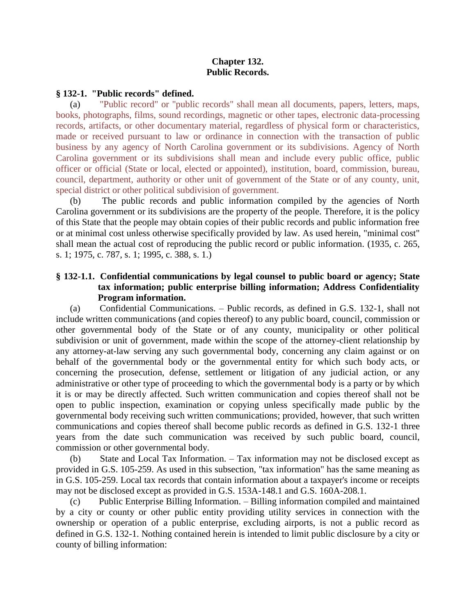# **Chapter 132. Public Records.**

# **§ 132-1. "Public records" defined.**

(a) "Public record" or "public records" shall mean all documents, papers, letters, maps, books, photographs, films, sound recordings, magnetic or other tapes, electronic data-processing records, artifacts, or other documentary material, regardless of physical form or characteristics, made or received pursuant to law or ordinance in connection with the transaction of public business by any agency of North Carolina government or its subdivisions. Agency of North Carolina government or its subdivisions shall mean and include every public office, public officer or official (State or local, elected or appointed), institution, board, commission, bureau, council, department, authority or other unit of government of the State or of any county, unit, special district or other political subdivision of government.

(b) The public records and public information compiled by the agencies of North Carolina government or its subdivisions are the property of the people. Therefore, it is the policy of this State that the people may obtain copies of their public records and public information free or at minimal cost unless otherwise specifically provided by law. As used herein, "minimal cost" shall mean the actual cost of reproducing the public record or public information. (1935, c. 265, s. 1; 1975, c. 787, s. 1; 1995, c. 388, s. 1.)

# **§ 132-1.1. Confidential communications by legal counsel to public board or agency; State tax information; public enterprise billing information; Address Confidentiality Program information.**

(a) Confidential Communications. – Public records, as defined in G.S. 132-1, shall not include written communications (and copies thereof) to any public board, council, commission or other governmental body of the State or of any county, municipality or other political subdivision or unit of government, made within the scope of the attorney-client relationship by any attorney-at-law serving any such governmental body, concerning any claim against or on behalf of the governmental body or the governmental entity for which such body acts, or concerning the prosecution, defense, settlement or litigation of any judicial action, or any administrative or other type of proceeding to which the governmental body is a party or by which it is or may be directly affected. Such written communication and copies thereof shall not be open to public inspection, examination or copying unless specifically made public by the governmental body receiving such written communications; provided, however, that such written communications and copies thereof shall become public records as defined in G.S. 132-1 three years from the date such communication was received by such public board, council, commission or other governmental body.

(b) State and Local Tax Information. – Tax information may not be disclosed except as provided in G.S. 105-259. As used in this subsection, "tax information" has the same meaning as in G.S. 105-259. Local tax records that contain information about a taxpayer's income or receipts may not be disclosed except as provided in G.S. 153A-148.1 and G.S. 160A-208.1.

(c) Public Enterprise Billing Information. – Billing information compiled and maintained by a city or county or other public entity providing utility services in connection with the ownership or operation of a public enterprise, excluding airports, is not a public record as defined in G.S. 132-1. Nothing contained herein is intended to limit public disclosure by a city or county of billing information: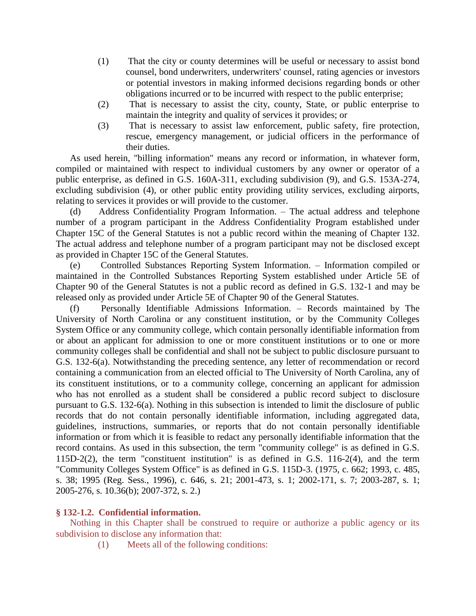- (1) That the city or county determines will be useful or necessary to assist bond counsel, bond underwriters, underwriters' counsel, rating agencies or investors or potential investors in making informed decisions regarding bonds or other obligations incurred or to be incurred with respect to the public enterprise;
- (2) That is necessary to assist the city, county, State, or public enterprise to maintain the integrity and quality of services it provides; or
- (3) That is necessary to assist law enforcement, public safety, fire protection, rescue, emergency management, or judicial officers in the performance of their duties.

As used herein, "billing information" means any record or information, in whatever form, compiled or maintained with respect to individual customers by any owner or operator of a public enterprise, as defined in G.S. 160A-311, excluding subdivision (9), and G.S. 153A-274, excluding subdivision (4), or other public entity providing utility services, excluding airports, relating to services it provides or will provide to the customer.

(d) Address Confidentiality Program Information. – The actual address and telephone number of a program participant in the Address Confidentiality Program established under Chapter 15C of the General Statutes is not a public record within the meaning of Chapter 132. The actual address and telephone number of a program participant may not be disclosed except as provided in Chapter 15C of the General Statutes.

(e) Controlled Substances Reporting System Information. – Information compiled or maintained in the Controlled Substances Reporting System established under Article 5E of Chapter 90 of the General Statutes is not a public record as defined in G.S. 132-1 and may be released only as provided under Article 5E of Chapter 90 of the General Statutes.

(f) Personally Identifiable Admissions Information. – Records maintained by The University of North Carolina or any constituent institution, or by the Community Colleges System Office or any community college, which contain personally identifiable information from or about an applicant for admission to one or more constituent institutions or to one or more community colleges shall be confidential and shall not be subject to public disclosure pursuant to G.S. 132-6(a). Notwithstanding the preceding sentence, any letter of recommendation or record containing a communication from an elected official to The University of North Carolina, any of its constituent institutions, or to a community college, concerning an applicant for admission who has not enrolled as a student shall be considered a public record subject to disclosure pursuant to G.S. 132-6(a). Nothing in this subsection is intended to limit the disclosure of public records that do not contain personally identifiable information, including aggregated data, guidelines, instructions, summaries, or reports that do not contain personally identifiable information or from which it is feasible to redact any personally identifiable information that the record contains. As used in this subsection, the term "community college" is as defined in G.S. 115D-2(2), the term "constituent institution" is as defined in G.S. 116-2(4), and the term "Community Colleges System Office" is as defined in G.S. 115D-3. (1975, c. 662; 1993, c. 485, s. 38; 1995 (Reg. Sess., 1996), c. 646, s. 21; 2001-473, s. 1; 2002-171, s. 7; 2003-287, s. 1; 2005-276, s. 10.36(b); 2007-372, s. 2.)

# **§ 132-1.2. Confidential information.**

Nothing in this Chapter shall be construed to require or authorize a public agency or its subdivision to disclose any information that:

(1) Meets all of the following conditions: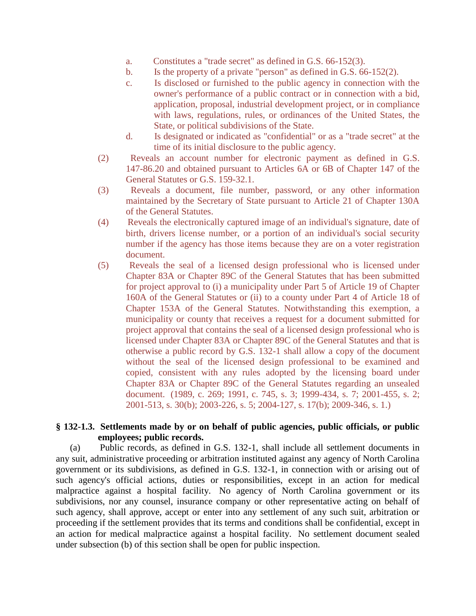- a. Constitutes a "trade secret" as defined in G.S. 66-152(3).
- b. Is the property of a private "person" as defined in G.S. 66-152(2).
- c. Is disclosed or furnished to the public agency in connection with the owner's performance of a public contract or in connection with a bid, application, proposal, industrial development project, or in compliance with laws, regulations, rules, or ordinances of the United States, the State, or political subdivisions of the State.
- d. Is designated or indicated as "confidential" or as a "trade secret" at the time of its initial disclosure to the public agency.
- (2) Reveals an account number for electronic payment as defined in G.S. 147-86.20 and obtained pursuant to Articles 6A or 6B of Chapter 147 of the General Statutes or G.S. 159-32.1.
- (3) Reveals a document, file number, password, or any other information maintained by the Secretary of State pursuant to Article 21 of Chapter 130A of the General Statutes.
- (4) Reveals the electronically captured image of an individual's signature, date of birth, drivers license number, or a portion of an individual's social security number if the agency has those items because they are on a voter registration document.
- (5) Reveals the seal of a licensed design professional who is licensed under Chapter 83A or Chapter 89C of the General Statutes that has been submitted for project approval to (i) a municipality under Part 5 of Article 19 of Chapter 160A of the General Statutes or (ii) to a county under Part 4 of Article 18 of Chapter 153A of the General Statutes. Notwithstanding this exemption, a municipality or county that receives a request for a document submitted for project approval that contains the seal of a licensed design professional who is licensed under Chapter 83A or Chapter 89C of the General Statutes and that is otherwise a public record by G.S. 132-1 shall allow a copy of the document without the seal of the licensed design professional to be examined and copied, consistent with any rules adopted by the licensing board under Chapter 83A or Chapter 89C of the General Statutes regarding an unsealed document. (1989, c. 269; 1991, c. 745, s. 3; 1999-434, s. 7; 2001-455, s. 2; 2001-513, s. 30(b); 2003-226, s. 5; 2004-127, s. 17(b); 2009-346, s. 1.)

# **§ 132-1.3. Settlements made by or on behalf of public agencies, public officials, or public employees; public records.**

(a) Public records, as defined in G.S. 132-1, shall include all settlement documents in any suit, administrative proceeding or arbitration instituted against any agency of North Carolina government or its subdivisions, as defined in G.S. 132-1, in connection with or arising out of such agency's official actions, duties or responsibilities, except in an action for medical malpractice against a hospital facility. No agency of North Carolina government or its subdivisions, nor any counsel, insurance company or other representative acting on behalf of such agency, shall approve, accept or enter into any settlement of any such suit, arbitration or proceeding if the settlement provides that its terms and conditions shall be confidential, except in an action for medical malpractice against a hospital facility. No settlement document sealed under subsection (b) of this section shall be open for public inspection.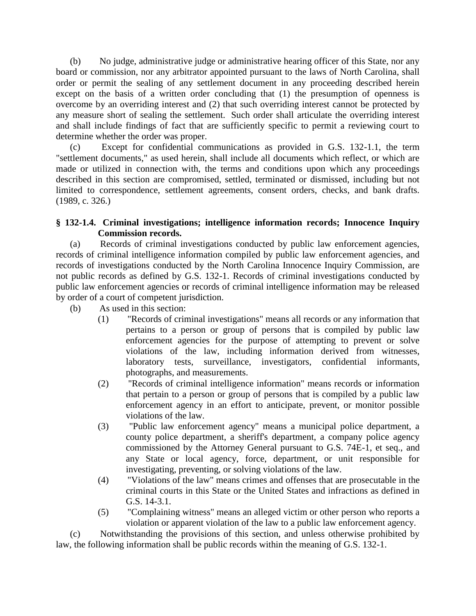(b) No judge, administrative judge or administrative hearing officer of this State, nor any board or commission, nor any arbitrator appointed pursuant to the laws of North Carolina, shall order or permit the sealing of any settlement document in any proceeding described herein except on the basis of a written order concluding that (1) the presumption of openness is overcome by an overriding interest and (2) that such overriding interest cannot be protected by any measure short of sealing the settlement. Such order shall articulate the overriding interest and shall include findings of fact that are sufficiently specific to permit a reviewing court to determine whether the order was proper.

(c) Except for confidential communications as provided in G.S. 132-1.1, the term "settlement documents," as used herein, shall include all documents which reflect, or which are made or utilized in connection with, the terms and conditions upon which any proceedings described in this section are compromised, settled, terminated or dismissed, including but not limited to correspondence, settlement agreements, consent orders, checks, and bank drafts. (1989, c. 326.)

# **§ 132-1.4. Criminal investigations; intelligence information records; Innocence Inquiry Commission records.**

(a) Records of criminal investigations conducted by public law enforcement agencies, records of criminal intelligence information compiled by public law enforcement agencies, and records of investigations conducted by the North Carolina Innocence Inquiry Commission, are not public records as defined by G.S. 132-1. Records of criminal investigations conducted by public law enforcement agencies or records of criminal intelligence information may be released by order of a court of competent jurisdiction.

- (b) As used in this section:
	- (1) "Records of criminal investigations" means all records or any information that pertains to a person or group of persons that is compiled by public law enforcement agencies for the purpose of attempting to prevent or solve violations of the law, including information derived from witnesses, laboratory tests, surveillance, investigators, confidential informants, photographs, and measurements.
	- (2) "Records of criminal intelligence information" means records or information that pertain to a person or group of persons that is compiled by a public law enforcement agency in an effort to anticipate, prevent, or monitor possible violations of the law.
	- (3) "Public law enforcement agency" means a municipal police department, a county police department, a sheriff's department, a company police agency commissioned by the Attorney General pursuant to G.S. 74E-1, et seq., and any State or local agency, force, department, or unit responsible for investigating, preventing, or solving violations of the law.
	- (4) "Violations of the law" means crimes and offenses that are prosecutable in the criminal courts in this State or the United States and infractions as defined in G.S. 14-3.1.
	- (5) "Complaining witness" means an alleged victim or other person who reports a violation or apparent violation of the law to a public law enforcement agency.

(c) Notwithstanding the provisions of this section, and unless otherwise prohibited by law, the following information shall be public records within the meaning of G.S. 132-1.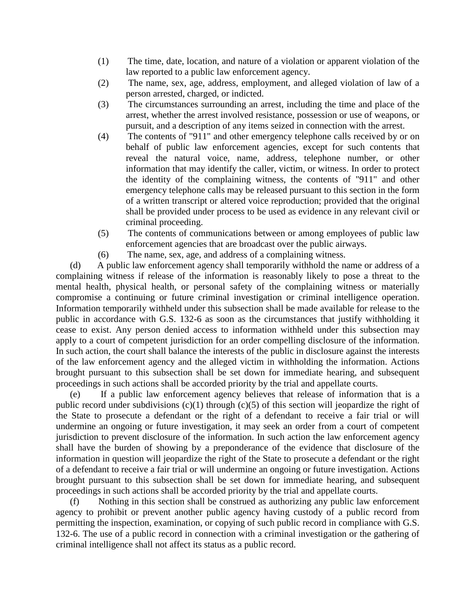- (1) The time, date, location, and nature of a violation or apparent violation of the law reported to a public law enforcement agency.
- (2) The name, sex, age, address, employment, and alleged violation of law of a person arrested, charged, or indicted.
- (3) The circumstances surrounding an arrest, including the time and place of the arrest, whether the arrest involved resistance, possession or use of weapons, or pursuit, and a description of any items seized in connection with the arrest.
- (4) The contents of "911" and other emergency telephone calls received by or on behalf of public law enforcement agencies, except for such contents that reveal the natural voice, name, address, telephone number, or other information that may identify the caller, victim, or witness. In order to protect the identity of the complaining witness, the contents of "911" and other emergency telephone calls may be released pursuant to this section in the form of a written transcript or altered voice reproduction; provided that the original shall be provided under process to be used as evidence in any relevant civil or criminal proceeding.
- (5) The contents of communications between or among employees of public law enforcement agencies that are broadcast over the public airways.
- (6) The name, sex, age, and address of a complaining witness.

(d) A public law enforcement agency shall temporarily withhold the name or address of a complaining witness if release of the information is reasonably likely to pose a threat to the mental health, physical health, or personal safety of the complaining witness or materially compromise a continuing or future criminal investigation or criminal intelligence operation. Information temporarily withheld under this subsection shall be made available for release to the public in accordance with G.S. 132-6 as soon as the circumstances that justify withholding it cease to exist. Any person denied access to information withheld under this subsection may apply to a court of competent jurisdiction for an order compelling disclosure of the information. In such action, the court shall balance the interests of the public in disclosure against the interests of the law enforcement agency and the alleged victim in withholding the information. Actions brought pursuant to this subsection shall be set down for immediate hearing, and subsequent proceedings in such actions shall be accorded priority by the trial and appellate courts.

(e) If a public law enforcement agency believes that release of information that is a public record under subdivisions (c)(1) through (c)(5) of this section will jeopardize the right of the State to prosecute a defendant or the right of a defendant to receive a fair trial or will undermine an ongoing or future investigation, it may seek an order from a court of competent jurisdiction to prevent disclosure of the information. In such action the law enforcement agency shall have the burden of showing by a preponderance of the evidence that disclosure of the information in question will jeopardize the right of the State to prosecute a defendant or the right of a defendant to receive a fair trial or will undermine an ongoing or future investigation. Actions brought pursuant to this subsection shall be set down for immediate hearing, and subsequent proceedings in such actions shall be accorded priority by the trial and appellate courts.

(f) Nothing in this section shall be construed as authorizing any public law enforcement agency to prohibit or prevent another public agency having custody of a public record from permitting the inspection, examination, or copying of such public record in compliance with G.S. 132-6. The use of a public record in connection with a criminal investigation or the gathering of criminal intelligence shall not affect its status as a public record.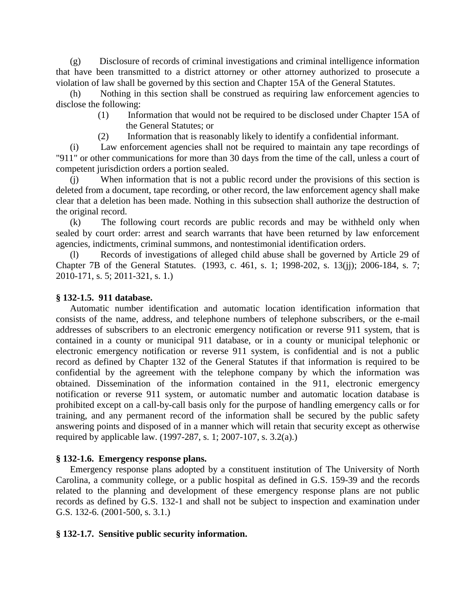(g) Disclosure of records of criminal investigations and criminal intelligence information that have been transmitted to a district attorney or other attorney authorized to prosecute a violation of law shall be governed by this section and Chapter 15A of the General Statutes.

(h) Nothing in this section shall be construed as requiring law enforcement agencies to disclose the following:

- (1) Information that would not be required to be disclosed under Chapter 15A of the General Statutes; or
- (2) Information that is reasonably likely to identify a confidential informant.

(i) Law enforcement agencies shall not be required to maintain any tape recordings of "911" or other communications for more than 30 days from the time of the call, unless a court of competent jurisdiction orders a portion sealed.

(j) When information that is not a public record under the provisions of this section is deleted from a document, tape recording, or other record, the law enforcement agency shall make clear that a deletion has been made. Nothing in this subsection shall authorize the destruction of the original record.

(k) The following court records are public records and may be withheld only when sealed by court order: arrest and search warrants that have been returned by law enforcement agencies, indictments, criminal summons, and nontestimonial identification orders.

(l) Records of investigations of alleged child abuse shall be governed by Article 29 of Chapter 7B of the General Statutes. (1993, c. 461, s. 1; 1998-202, s. 13(jj); 2006-184, s. 7; 2010-171, s. 5; 2011-321, s. 1.)

### **§ 132-1.5. 911 database.**

Automatic number identification and automatic location identification information that consists of the name, address, and telephone numbers of telephone subscribers, or the e-mail addresses of subscribers to an electronic emergency notification or reverse 911 system, that is contained in a county or municipal 911 database, or in a county or municipal telephonic or electronic emergency notification or reverse 911 system, is confidential and is not a public record as defined by Chapter 132 of the General Statutes if that information is required to be confidential by the agreement with the telephone company by which the information was obtained. Dissemination of the information contained in the 911, electronic emergency notification or reverse 911 system, or automatic number and automatic location database is prohibited except on a call-by-call basis only for the purpose of handling emergency calls or for training, and any permanent record of the information shall be secured by the public safety answering points and disposed of in a manner which will retain that security except as otherwise required by applicable law. (1997-287, s. 1; 2007-107, s. 3.2(a).)

#### **§ 132-1.6. Emergency response plans.**

Emergency response plans adopted by a constituent institution of The University of North Carolina, a community college, or a public hospital as defined in G.S. 159-39 and the records related to the planning and development of these emergency response plans are not public records as defined by G.S. 132-1 and shall not be subject to inspection and examination under G.S. 132-6. (2001-500, s. 3.1.)

#### **§ 132-1.7. Sensitive public security information.**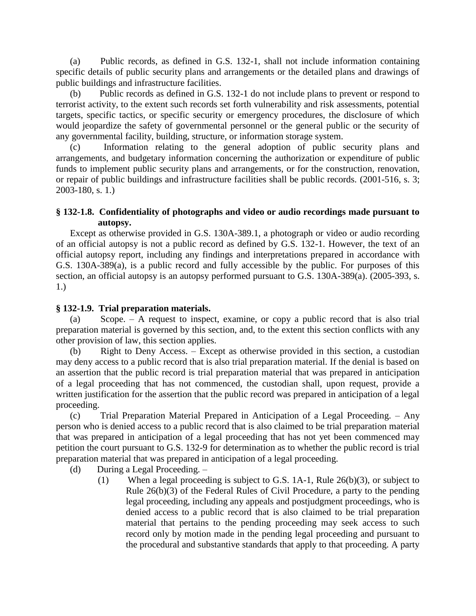(a) Public records, as defined in G.S. 132-1, shall not include information containing specific details of public security plans and arrangements or the detailed plans and drawings of public buildings and infrastructure facilities.

(b) Public records as defined in G.S. 132-1 do not include plans to prevent or respond to terrorist activity, to the extent such records set forth vulnerability and risk assessments, potential targets, specific tactics, or specific security or emergency procedures, the disclosure of which would jeopardize the safety of governmental personnel or the general public or the security of any governmental facility, building, structure, or information storage system.

(c) Information relating to the general adoption of public security plans and arrangements, and budgetary information concerning the authorization or expenditure of public funds to implement public security plans and arrangements, or for the construction, renovation, or repair of public buildings and infrastructure facilities shall be public records. (2001-516, s. 3; 2003-180, s. 1.)

# **§ 132-1.8. Confidentiality of photographs and video or audio recordings made pursuant to autopsy.**

Except as otherwise provided in G.S. 130A-389.1, a photograph or video or audio recording of an official autopsy is not a public record as defined by G.S. 132-1. However, the text of an official autopsy report, including any findings and interpretations prepared in accordance with G.S. 130A-389(a), is a public record and fully accessible by the public. For purposes of this section, an official autopsy is an autopsy performed pursuant to G.S. 130A-389(a). (2005-393, s. 1.)

# **§ 132-1.9. Trial preparation materials.**

(a) Scope. – A request to inspect, examine, or copy a public record that is also trial preparation material is governed by this section, and, to the extent this section conflicts with any other provision of law, this section applies.

(b) Right to Deny Access. – Except as otherwise provided in this section, a custodian may deny access to a public record that is also trial preparation material. If the denial is based on an assertion that the public record is trial preparation material that was prepared in anticipation of a legal proceeding that has not commenced, the custodian shall, upon request, provide a written justification for the assertion that the public record was prepared in anticipation of a legal proceeding.

(c) Trial Preparation Material Prepared in Anticipation of a Legal Proceeding. – Any person who is denied access to a public record that is also claimed to be trial preparation material that was prepared in anticipation of a legal proceeding that has not yet been commenced may petition the court pursuant to G.S. 132-9 for determination as to whether the public record is trial preparation material that was prepared in anticipation of a legal proceeding.

(d) During a Legal Proceeding. –

(1) When a legal proceeding is subject to G.S. 1A-1, Rule 26(b)(3), or subject to Rule 26(b)(3) of the Federal Rules of Civil Procedure, a party to the pending legal proceeding, including any appeals and postjudgment proceedings, who is denied access to a public record that is also claimed to be trial preparation material that pertains to the pending proceeding may seek access to such record only by motion made in the pending legal proceeding and pursuant to the procedural and substantive standards that apply to that proceeding. A party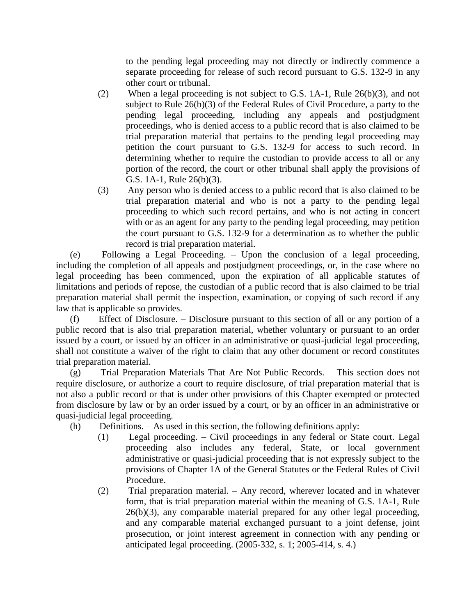to the pending legal proceeding may not directly or indirectly commence a separate proceeding for release of such record pursuant to G.S. 132-9 in any other court or tribunal.

- (2) When a legal proceeding is not subject to G.S. 1A-1, Rule 26(b)(3), and not subject to Rule 26(b)(3) of the Federal Rules of Civil Procedure, a party to the pending legal proceeding, including any appeals and postjudgment proceedings, who is denied access to a public record that is also claimed to be trial preparation material that pertains to the pending legal proceeding may petition the court pursuant to G.S. 132-9 for access to such record. In determining whether to require the custodian to provide access to all or any portion of the record, the court or other tribunal shall apply the provisions of G.S. 1A-1, Rule 26(b)(3).
- (3) Any person who is denied access to a public record that is also claimed to be trial preparation material and who is not a party to the pending legal proceeding to which such record pertains, and who is not acting in concert with or as an agent for any party to the pending legal proceeding, may petition the court pursuant to G.S. 132-9 for a determination as to whether the public record is trial preparation material.

(e) Following a Legal Proceeding. – Upon the conclusion of a legal proceeding, including the completion of all appeals and postjudgment proceedings, or, in the case where no legal proceeding has been commenced, upon the expiration of all applicable statutes of limitations and periods of repose, the custodian of a public record that is also claimed to be trial preparation material shall permit the inspection, examination, or copying of such record if any law that is applicable so provides.

(f) Effect of Disclosure. – Disclosure pursuant to this section of all or any portion of a public record that is also trial preparation material, whether voluntary or pursuant to an order issued by a court, or issued by an officer in an administrative or quasi-judicial legal proceeding, shall not constitute a waiver of the right to claim that any other document or record constitutes trial preparation material.

(g) Trial Preparation Materials That Are Not Public Records. – This section does not require disclosure, or authorize a court to require disclosure, of trial preparation material that is not also a public record or that is under other provisions of this Chapter exempted or protected from disclosure by law or by an order issued by a court, or by an officer in an administrative or quasi-judicial legal proceeding.

(h) Definitions. – As used in this section, the following definitions apply:

- (1) Legal proceeding. Civil proceedings in any federal or State court. Legal proceeding also includes any federal, State, or local government administrative or quasi-judicial proceeding that is not expressly subject to the provisions of Chapter 1A of the General Statutes or the Federal Rules of Civil Procedure.
- (2) Trial preparation material. Any record, wherever located and in whatever form, that is trial preparation material within the meaning of G.S. 1A-1, Rule 26(b)(3), any comparable material prepared for any other legal proceeding, and any comparable material exchanged pursuant to a joint defense, joint prosecution, or joint interest agreement in connection with any pending or anticipated legal proceeding. (2005-332, s. 1; 2005-414, s. 4.)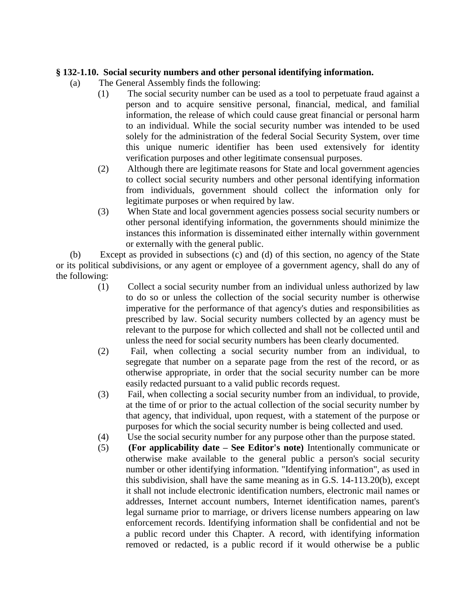# **§ 132-1.10. Social security numbers and other personal identifying information.**

- (a) The General Assembly finds the following:
	- (1) The social security number can be used as a tool to perpetuate fraud against a person and to acquire sensitive personal, financial, medical, and familial information, the release of which could cause great financial or personal harm to an individual. While the social security number was intended to be used solely for the administration of the federal Social Security System, over time this unique numeric identifier has been used extensively for identity verification purposes and other legitimate consensual purposes.
	- (2) Although there are legitimate reasons for State and local government agencies to collect social security numbers and other personal identifying information from individuals, government should collect the information only for legitimate purposes or when required by law.
	- (3) When State and local government agencies possess social security numbers or other personal identifying information, the governments should minimize the instances this information is disseminated either internally within government or externally with the general public.

(b) Except as provided in subsections (c) and (d) of this section, no agency of the State or its political subdivisions, or any agent or employee of a government agency, shall do any of the following:

- (1) Collect a social security number from an individual unless authorized by law to do so or unless the collection of the social security number is otherwise imperative for the performance of that agency's duties and responsibilities as prescribed by law. Social security numbers collected by an agency must be relevant to the purpose for which collected and shall not be collected until and unless the need for social security numbers has been clearly documented.
- (2) Fail, when collecting a social security number from an individual, to segregate that number on a separate page from the rest of the record, or as otherwise appropriate, in order that the social security number can be more easily redacted pursuant to a valid public records request.
- (3) Fail, when collecting a social security number from an individual, to provide, at the time of or prior to the actual collection of the social security number by that agency, that individual, upon request, with a statement of the purpose or purposes for which the social security number is being collected and used.
- (4) Use the social security number for any purpose other than the purpose stated.
- (5) **(For applicability date – See Editor's note)** Intentionally communicate or otherwise make available to the general public a person's social security number or other identifying information. "Identifying information", as used in this subdivision, shall have the same meaning as in G.S. 14-113.20(b), except it shall not include electronic identification numbers, electronic mail names or addresses, Internet account numbers, Internet identification names, parent's legal surname prior to marriage, or drivers license numbers appearing on law enforcement records. Identifying information shall be confidential and not be a public record under this Chapter. A record, with identifying information removed or redacted, is a public record if it would otherwise be a public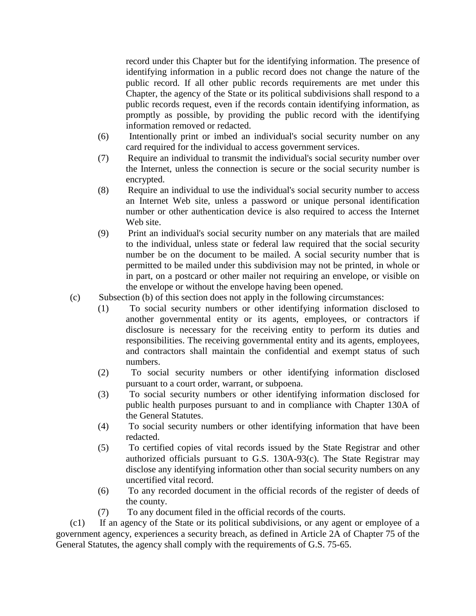record under this Chapter but for the identifying information. The presence of identifying information in a public record does not change the nature of the public record. If all other public records requirements are met under this Chapter, the agency of the State or its political subdivisions shall respond to a public records request, even if the records contain identifying information, as promptly as possible, by providing the public record with the identifying information removed or redacted.

- (6) Intentionally print or imbed an individual's social security number on any card required for the individual to access government services.
- (7) Require an individual to transmit the individual's social security number over the Internet, unless the connection is secure or the social security number is encrypted.
- (8) Require an individual to use the individual's social security number to access an Internet Web site, unless a password or unique personal identification number or other authentication device is also required to access the Internet Web site.
- (9) Print an individual's social security number on any materials that are mailed to the individual, unless state or federal law required that the social security number be on the document to be mailed. A social security number that is permitted to be mailed under this subdivision may not be printed, in whole or in part, on a postcard or other mailer not requiring an envelope, or visible on the envelope or without the envelope having been opened.
- (c) Subsection (b) of this section does not apply in the following circumstances:
	- (1) To social security numbers or other identifying information disclosed to another governmental entity or its agents, employees, or contractors if disclosure is necessary for the receiving entity to perform its duties and responsibilities. The receiving governmental entity and its agents, employees, and contractors shall maintain the confidential and exempt status of such numbers.
	- (2) To social security numbers or other identifying information disclosed pursuant to a court order, warrant, or subpoena.
	- (3) To social security numbers or other identifying information disclosed for public health purposes pursuant to and in compliance with Chapter 130A of the General Statutes.
	- (4) To social security numbers or other identifying information that have been redacted.
	- (5) To certified copies of vital records issued by the State Registrar and other authorized officials pursuant to G.S. 130A-93(c). The State Registrar may disclose any identifying information other than social security numbers on any uncertified vital record.
	- (6) To any recorded document in the official records of the register of deeds of the county.
	- (7) To any document filed in the official records of the courts.

(c1) If an agency of the State or its political subdivisions, or any agent or employee of a government agency, experiences a security breach, as defined in Article 2A of Chapter 75 of the General Statutes, the agency shall comply with the requirements of G.S. 75-65.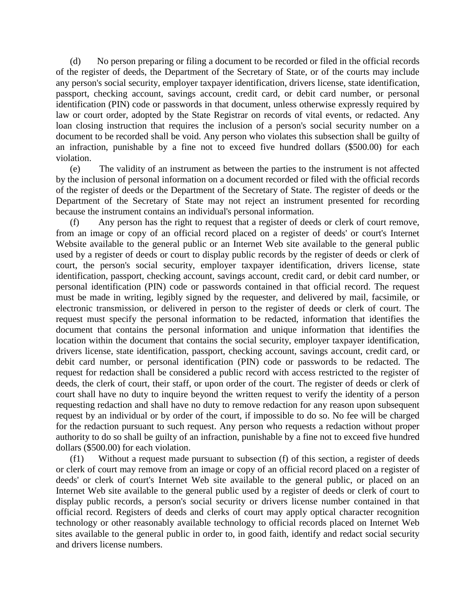(d) No person preparing or filing a document to be recorded or filed in the official records of the register of deeds, the Department of the Secretary of State, or of the courts may include any person's social security, employer taxpayer identification, drivers license, state identification, passport, checking account, savings account, credit card, or debit card number, or personal identification (PIN) code or passwords in that document, unless otherwise expressly required by law or court order, adopted by the State Registrar on records of vital events, or redacted. Any loan closing instruction that requires the inclusion of a person's social security number on a document to be recorded shall be void. Any person who violates this subsection shall be guilty of an infraction, punishable by a fine not to exceed five hundred dollars (\$500.00) for each violation.

(e) The validity of an instrument as between the parties to the instrument is not affected by the inclusion of personal information on a document recorded or filed with the official records of the register of deeds or the Department of the Secretary of State. The register of deeds or the Department of the Secretary of State may not reject an instrument presented for recording because the instrument contains an individual's personal information.

(f) Any person has the right to request that a register of deeds or clerk of court remove, from an image or copy of an official record placed on a register of deeds' or court's Internet Website available to the general public or an Internet Web site available to the general public used by a register of deeds or court to display public records by the register of deeds or clerk of court, the person's social security, employer taxpayer identification, drivers license, state identification, passport, checking account, savings account, credit card, or debit card number, or personal identification (PIN) code or passwords contained in that official record. The request must be made in writing, legibly signed by the requester, and delivered by mail, facsimile, or electronic transmission, or delivered in person to the register of deeds or clerk of court. The request must specify the personal information to be redacted, information that identifies the document that contains the personal information and unique information that identifies the location within the document that contains the social security, employer taxpayer identification, drivers license, state identification, passport, checking account, savings account, credit card, or debit card number, or personal identification (PIN) code or passwords to be redacted. The request for redaction shall be considered a public record with access restricted to the register of deeds, the clerk of court, their staff, or upon order of the court. The register of deeds or clerk of court shall have no duty to inquire beyond the written request to verify the identity of a person requesting redaction and shall have no duty to remove redaction for any reason upon subsequent request by an individual or by order of the court, if impossible to do so. No fee will be charged for the redaction pursuant to such request. Any person who requests a redaction without proper authority to do so shall be guilty of an infraction, punishable by a fine not to exceed five hundred dollars (\$500.00) for each violation.

(f1) Without a request made pursuant to subsection (f) of this section, a register of deeds or clerk of court may remove from an image or copy of an official record placed on a register of deeds' or clerk of court's Internet Web site available to the general public, or placed on an Internet Web site available to the general public used by a register of deeds or clerk of court to display public records, a person's social security or drivers license number contained in that official record. Registers of deeds and clerks of court may apply optical character recognition technology or other reasonably available technology to official records placed on Internet Web sites available to the general public in order to, in good faith, identify and redact social security and drivers license numbers.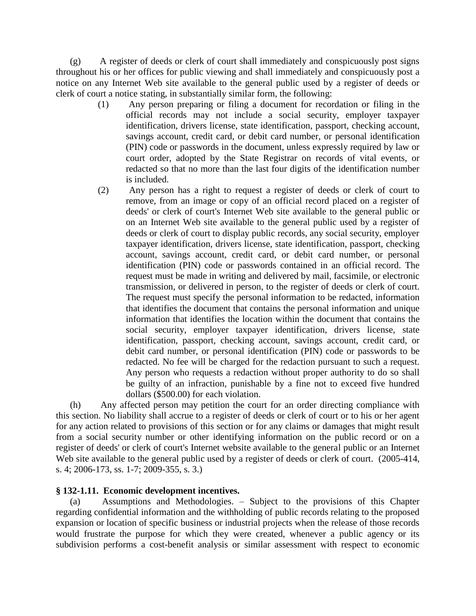(g) A register of deeds or clerk of court shall immediately and conspicuously post signs throughout his or her offices for public viewing and shall immediately and conspicuously post a notice on any Internet Web site available to the general public used by a register of deeds or clerk of court a notice stating, in substantially similar form, the following:

- (1) Any person preparing or filing a document for recordation or filing in the official records may not include a social security, employer taxpayer identification, drivers license, state identification, passport, checking account, savings account, credit card, or debit card number, or personal identification (PIN) code or passwords in the document, unless expressly required by law or court order, adopted by the State Registrar on records of vital events, or redacted so that no more than the last four digits of the identification number is included.
- (2) Any person has a right to request a register of deeds or clerk of court to remove, from an image or copy of an official record placed on a register of deeds' or clerk of court's Internet Web site available to the general public or on an Internet Web site available to the general public used by a register of deeds or clerk of court to display public records, any social security, employer taxpayer identification, drivers license, state identification, passport, checking account, savings account, credit card, or debit card number, or personal identification (PIN) code or passwords contained in an official record. The request must be made in writing and delivered by mail, facsimile, or electronic transmission, or delivered in person, to the register of deeds or clerk of court. The request must specify the personal information to be redacted, information that identifies the document that contains the personal information and unique information that identifies the location within the document that contains the social security, employer taxpayer identification, drivers license, state identification, passport, checking account, savings account, credit card, or debit card number, or personal identification (PIN) code or passwords to be redacted. No fee will be charged for the redaction pursuant to such a request. Any person who requests a redaction without proper authority to do so shall be guilty of an infraction, punishable by a fine not to exceed five hundred dollars (\$500.00) for each violation.

(h) Any affected person may petition the court for an order directing compliance with this section. No liability shall accrue to a register of deeds or clerk of court or to his or her agent for any action related to provisions of this section or for any claims or damages that might result from a social security number or other identifying information on the public record or on a register of deeds' or clerk of court's Internet website available to the general public or an Internet Web site available to the general public used by a register of deeds or clerk of court. (2005-414, s. 4; 2006-173, ss. 1-7; 2009-355, s. 3.)

# **§ 132-1.11. Economic development incentives.**

(a) Assumptions and Methodologies. – Subject to the provisions of this Chapter regarding confidential information and the withholding of public records relating to the proposed expansion or location of specific business or industrial projects when the release of those records would frustrate the purpose for which they were created, whenever a public agency or its subdivision performs a cost-benefit analysis or similar assessment with respect to economic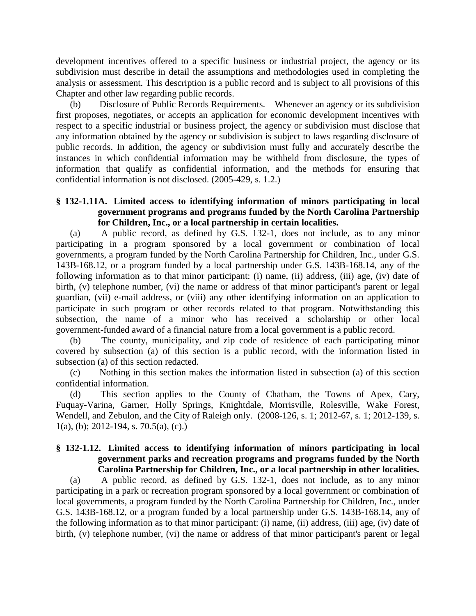development incentives offered to a specific business or industrial project, the agency or its subdivision must describe in detail the assumptions and methodologies used in completing the analysis or assessment. This description is a public record and is subject to all provisions of this Chapter and other law regarding public records.

(b) Disclosure of Public Records Requirements. – Whenever an agency or its subdivision first proposes, negotiates, or accepts an application for economic development incentives with respect to a specific industrial or business project, the agency or subdivision must disclose that any information obtained by the agency or subdivision is subject to laws regarding disclosure of public records. In addition, the agency or subdivision must fully and accurately describe the instances in which confidential information may be withheld from disclosure, the types of information that qualify as confidential information, and the methods for ensuring that confidential information is not disclosed. (2005-429, s. 1.2.)

# **§ 132-1.11A. Limited access to identifying information of minors participating in local government programs and programs funded by the North Carolina Partnership for Children, Inc., or a local partnership in certain localities.**

(a) A public record, as defined by G.S. 132-1, does not include, as to any minor participating in a program sponsored by a local government or combination of local governments, a program funded by the North Carolina Partnership for Children, Inc., under G.S. 143B-168.12, or a program funded by a local partnership under G.S. 143B-168.14, any of the following information as to that minor participant: (i) name, (ii) address, (iii) age, (iv) date of birth, (v) telephone number, (vi) the name or address of that minor participant's parent or legal guardian, (vii) e-mail address, or (viii) any other identifying information on an application to participate in such program or other records related to that program. Notwithstanding this subsection, the name of a minor who has received a scholarship or other local government-funded award of a financial nature from a local government is a public record.

(b) The county, municipality, and zip code of residence of each participating minor covered by subsection (a) of this section is a public record, with the information listed in subsection (a) of this section redacted.

(c) Nothing in this section makes the information listed in subsection (a) of this section confidential information.

(d) This section applies to the County of Chatham, the Towns of Apex, Cary, Fuquay-Varina, Garner, Holly Springs, Knightdale, Morrisville, Rolesville, Wake Forest, Wendell, and Zebulon, and the City of Raleigh only. (2008-126, s. 1; 2012-67, s. 1; 2012-139, s. 1(a), (b); 2012-194, s. 70.5(a), (c).)

# **§ 132-1.12. Limited access to identifying information of minors participating in local government parks and recreation programs and programs funded by the North Carolina Partnership for Children, Inc., or a local partnership in other localities.**

(a) A public record, as defined by G.S. 132-1, does not include, as to any minor participating in a park or recreation program sponsored by a local government or combination of local governments, a program funded by the North Carolina Partnership for Children, Inc., under G.S. 143B-168.12, or a program funded by a local partnership under G.S. 143B-168.14, any of the following information as to that minor participant: (i) name, (ii) address, (iii) age, (iv) date of birth, (v) telephone number, (vi) the name or address of that minor participant's parent or legal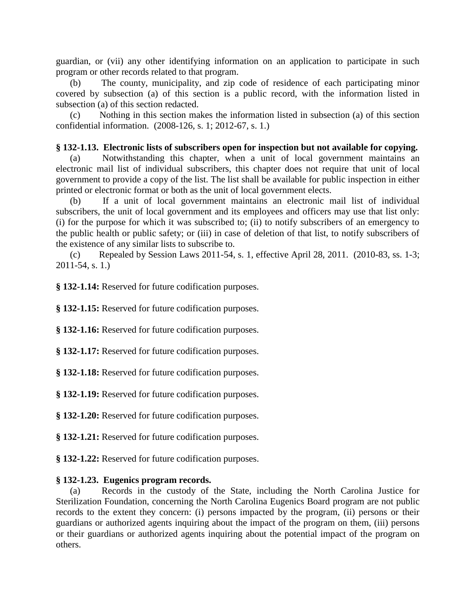guardian, or (vii) any other identifying information on an application to participate in such program or other records related to that program.

(b) The county, municipality, and zip code of residence of each participating minor covered by subsection (a) of this section is a public record, with the information listed in subsection (a) of this section redacted.

(c) Nothing in this section makes the information listed in subsection (a) of this section confidential information. (2008-126, s. 1; 2012-67, s. 1.)

# **§ 132-1.13. Electronic lists of subscribers open for inspection but not available for copying.**

Notwithstanding this chapter, when a unit of local government maintains an electronic mail list of individual subscribers, this chapter does not require that unit of local government to provide a copy of the list. The list shall be available for public inspection in either printed or electronic format or both as the unit of local government elects.

(b) If a unit of local government maintains an electronic mail list of individual subscribers, the unit of local government and its employees and officers may use that list only: (i) for the purpose for which it was subscribed to; (ii) to notify subscribers of an emergency to the public health or public safety; or (iii) in case of deletion of that list, to notify subscribers of the existence of any similar lists to subscribe to.

(c) Repealed by Session Laws 2011-54, s. 1, effective April 28, 2011. (2010-83, ss. 1-3; 2011-54, s. 1.)

**§ 132-1.14:** Reserved for future codification purposes.

**§ 132-1.15:** Reserved for future codification purposes.

**§ 132-1.16:** Reserved for future codification purposes.

**§ 132-1.17:** Reserved for future codification purposes.

**§ 132-1.18:** Reserved for future codification purposes.

**§ 132-1.19:** Reserved for future codification purposes.

**§ 132-1.20:** Reserved for future codification purposes.

**§ 132-1.21:** Reserved for future codification purposes.

**§ 132-1.22:** Reserved for future codification purposes.

# **§ 132-1.23. Eugenics program records.**

(a) Records in the custody of the State, including the North Carolina Justice for Sterilization Foundation, concerning the North Carolina Eugenics Board program are not public records to the extent they concern: (i) persons impacted by the program, (ii) persons or their guardians or authorized agents inquiring about the impact of the program on them, (iii) persons or their guardians or authorized agents inquiring about the potential impact of the program on others.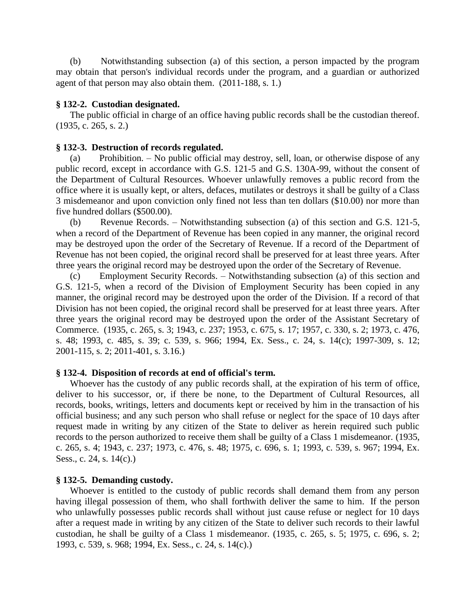(b) Notwithstanding subsection (a) of this section, a person impacted by the program may obtain that person's individual records under the program, and a guardian or authorized agent of that person may also obtain them. (2011-188, s. 1.)

### **§ 132-2. Custodian designated.**

The public official in charge of an office having public records shall be the custodian thereof. (1935, c. 265, s. 2.)

### **§ 132-3. Destruction of records regulated.**

Prohibition. – No public official may destroy, sell, loan, or otherwise dispose of any public record, except in accordance with G.S. 121-5 and G.S. 130A-99, without the consent of the Department of Cultural Resources. Whoever unlawfully removes a public record from the office where it is usually kept, or alters, defaces, mutilates or destroys it shall be guilty of a Class 3 misdemeanor and upon conviction only fined not less than ten dollars (\$10.00) nor more than five hundred dollars (\$500.00).

(b) Revenue Records. – Notwithstanding subsection (a) of this section and G.S. 121-5, when a record of the Department of Revenue has been copied in any manner, the original record may be destroyed upon the order of the Secretary of Revenue. If a record of the Department of Revenue has not been copied, the original record shall be preserved for at least three years. After three years the original record may be destroyed upon the order of the Secretary of Revenue.

(c) Employment Security Records. – Notwithstanding subsection (a) of this section and G.S. 121-5, when a record of the Division of Employment Security has been copied in any manner, the original record may be destroyed upon the order of the Division. If a record of that Division has not been copied, the original record shall be preserved for at least three years. After three years the original record may be destroyed upon the order of the Assistant Secretary of Commerce. (1935, c. 265, s. 3; 1943, c. 237; 1953, c. 675, s. 17; 1957, c. 330, s. 2; 1973, c. 476, s. 48; 1993, c. 485, s. 39; c. 539, s. 966; 1994, Ex. Sess., c. 24, s. 14(c); 1997-309, s. 12; 2001-115, s. 2; 2011-401, s. 3.16.)

#### **§ 132-4. Disposition of records at end of official's term.**

Whoever has the custody of any public records shall, at the expiration of his term of office, deliver to his successor, or, if there be none, to the Department of Cultural Resources, all records, books, writings, letters and documents kept or received by him in the transaction of his official business; and any such person who shall refuse or neglect for the space of 10 days after request made in writing by any citizen of the State to deliver as herein required such public records to the person authorized to receive them shall be guilty of a Class 1 misdemeanor. (1935, c. 265, s. 4; 1943, c. 237; 1973, c. 476, s. 48; 1975, c. 696, s. 1; 1993, c. 539, s. 967; 1994, Ex. Sess., c. 24, s. 14(c).)

# **§ 132-5. Demanding custody.**

Whoever is entitled to the custody of public records shall demand them from any person having illegal possession of them, who shall forthwith deliver the same to him. If the person who unlawfully possesses public records shall without just cause refuse or neglect for 10 days after a request made in writing by any citizen of the State to deliver such records to their lawful custodian, he shall be guilty of a Class 1 misdemeanor. (1935, c. 265, s. 5; 1975, c. 696, s. 2; 1993, c. 539, s. 968; 1994, Ex. Sess., c. 24, s. 14(c).)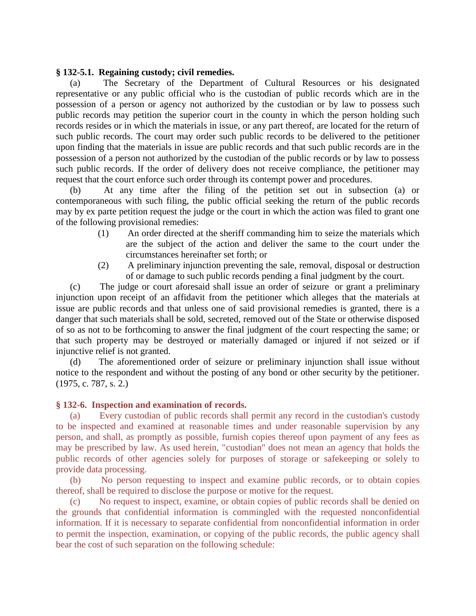# **§ 132-5.1. Regaining custody; civil remedies.**

(a) The Secretary of the Department of Cultural Resources or his designated representative or any public official who is the custodian of public records which are in the possession of a person or agency not authorized by the custodian or by law to possess such public records may petition the superior court in the county in which the person holding such records resides or in which the materials in issue, or any part thereof, are located for the return of such public records. The court may order such public records to be delivered to the petitioner upon finding that the materials in issue are public records and that such public records are in the possession of a person not authorized by the custodian of the public records or by law to possess such public records. If the order of delivery does not receive compliance, the petitioner may request that the court enforce such order through its contempt power and procedures.

(b) At any time after the filing of the petition set out in subsection (a) or contemporaneous with such filing, the public official seeking the return of the public records may by ex parte petition request the judge or the court in which the action was filed to grant one of the following provisional remedies:

- (1) An order directed at the sheriff commanding him to seize the materials which are the subject of the action and deliver the same to the court under the circumstances hereinafter set forth; or
- (2) A preliminary injunction preventing the sale, removal, disposal or destruction of or damage to such public records pending a final judgment by the court.

(c) The judge or court aforesaid shall issue an order of seizure or grant a preliminary injunction upon receipt of an affidavit from the petitioner which alleges that the materials at issue are public records and that unless one of said provisional remedies is granted, there is a danger that such materials shall be sold, secreted, removed out of the State or otherwise disposed of so as not to be forthcoming to answer the final judgment of the court respecting the same; or that such property may be destroyed or materially damaged or injured if not seized or if injunctive relief is not granted.

(d) The aforementioned order of seizure or preliminary injunction shall issue without notice to the respondent and without the posting of any bond or other security by the petitioner. (1975, c. 787, s. 2.)

# **§ 132-6. Inspection and examination of records.**

(a) Every custodian of public records shall permit any record in the custodian's custody to be inspected and examined at reasonable times and under reasonable supervision by any person, and shall, as promptly as possible, furnish copies thereof upon payment of any fees as may be prescribed by law. As used herein, "custodian" does not mean an agency that holds the public records of other agencies solely for purposes of storage or safekeeping or solely to provide data processing.

(b) No person requesting to inspect and examine public records, or to obtain copies thereof, shall be required to disclose the purpose or motive for the request.

(c) No request to inspect, examine, or obtain copies of public records shall be denied on the grounds that confidential information is commingled with the requested nonconfidential information. If it is necessary to separate confidential from nonconfidential information in order to permit the inspection, examination, or copying of the public records, the public agency shall bear the cost of such separation on the following schedule: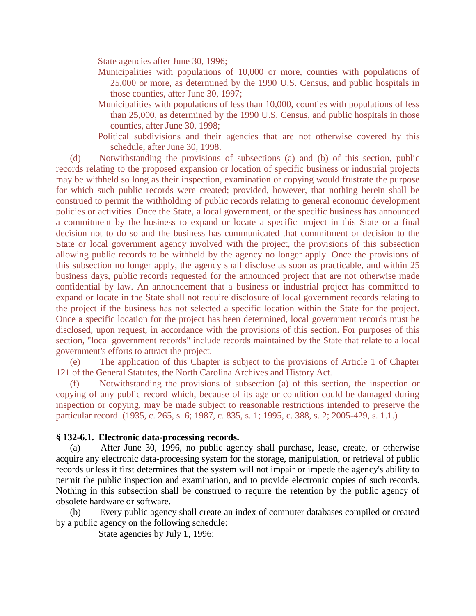State agencies after June 30, 1996;

- Municipalities with populations of 10,000 or more, counties with populations of 25,000 or more, as determined by the 1990 U.S. Census, and public hospitals in those counties, after June 30, 1997;
- Municipalities with populations of less than 10,000, counties with populations of less than 25,000, as determined by the 1990 U.S. Census, and public hospitals in those counties, after June 30, 1998;
- Political subdivisions and their agencies that are not otherwise covered by this schedule, after June 30, 1998.

(d) Notwithstanding the provisions of subsections (a) and (b) of this section, public records relating to the proposed expansion or location of specific business or industrial projects may be withheld so long as their inspection, examination or copying would frustrate the purpose for which such public records were created; provided, however, that nothing herein shall be construed to permit the withholding of public records relating to general economic development policies or activities. Once the State, a local government, or the specific business has announced a commitment by the business to expand or locate a specific project in this State or a final decision not to do so and the business has communicated that commitment or decision to the State or local government agency involved with the project, the provisions of this subsection allowing public records to be withheld by the agency no longer apply. Once the provisions of this subsection no longer apply, the agency shall disclose as soon as practicable, and within 25 business days, public records requested for the announced project that are not otherwise made confidential by law. An announcement that a business or industrial project has committed to expand or locate in the State shall not require disclosure of local government records relating to the project if the business has not selected a specific location within the State for the project. Once a specific location for the project has been determined, local government records must be disclosed, upon request, in accordance with the provisions of this section. For purposes of this section, "local government records" include records maintained by the State that relate to a local government's efforts to attract the project.

(e) The application of this Chapter is subject to the provisions of Article 1 of Chapter 121 of the General Statutes, the North Carolina Archives and History Act.

(f) Notwithstanding the provisions of subsection (a) of this section, the inspection or copying of any public record which, because of its age or condition could be damaged during inspection or copying, may be made subject to reasonable restrictions intended to preserve the particular record. (1935, c. 265, s. 6; 1987, c. 835, s. 1; 1995, c. 388, s. 2; 2005-429, s. 1.1.)

#### **§ 132-6.1. Electronic data-processing records.**

(a) After June 30, 1996, no public agency shall purchase, lease, create, or otherwise acquire any electronic data-processing system for the storage, manipulation, or retrieval of public records unless it first determines that the system will not impair or impede the agency's ability to permit the public inspection and examination, and to provide electronic copies of such records. Nothing in this subsection shall be construed to require the retention by the public agency of obsolete hardware or software.

(b) Every public agency shall create an index of computer databases compiled or created by a public agency on the following schedule:

State agencies by July 1, 1996;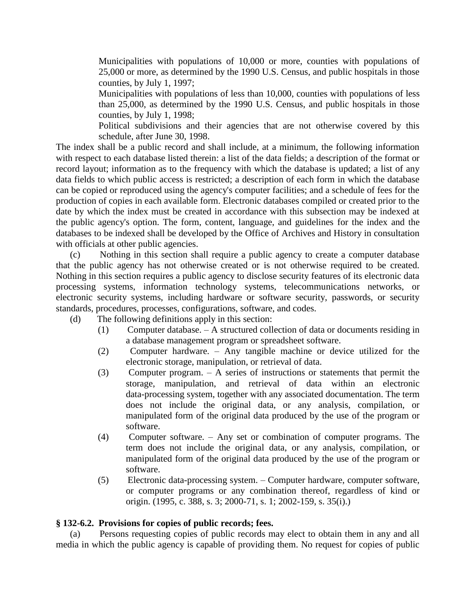Municipalities with populations of 10,000 or more, counties with populations of 25,000 or more, as determined by the 1990 U.S. Census, and public hospitals in those counties, by July 1, 1997;

Municipalities with populations of less than 10,000, counties with populations of less than 25,000, as determined by the 1990 U.S. Census, and public hospitals in those counties, by July 1, 1998;

Political subdivisions and their agencies that are not otherwise covered by this schedule, after June 30, 1998.

The index shall be a public record and shall include, at a minimum, the following information with respect to each database listed therein: a list of the data fields; a description of the format or record layout; information as to the frequency with which the database is updated; a list of any data fields to which public access is restricted; a description of each form in which the database can be copied or reproduced using the agency's computer facilities; and a schedule of fees for the production of copies in each available form. Electronic databases compiled or created prior to the date by which the index must be created in accordance with this subsection may be indexed at the public agency's option. The form, content, language, and guidelines for the index and the databases to be indexed shall be developed by the Office of Archives and History in consultation with officials at other public agencies.

(c) Nothing in this section shall require a public agency to create a computer database that the public agency has not otherwise created or is not otherwise required to be created. Nothing in this section requires a public agency to disclose security features of its electronic data processing systems, information technology systems, telecommunications networks, or electronic security systems, including hardware or software security, passwords, or security standards, procedures, processes, configurations, software, and codes.

(d) The following definitions apply in this section:

- (1) Computer database. A structured collection of data or documents residing in a database management program or spreadsheet software.
- (2) Computer hardware. Any tangible machine or device utilized for the electronic storage, manipulation, or retrieval of data.
- (3) Computer program. A series of instructions or statements that permit the storage, manipulation, and retrieval of data within an electronic data-processing system, together with any associated documentation. The term does not include the original data, or any analysis, compilation, or manipulated form of the original data produced by the use of the program or software.
- (4) Computer software. Any set or combination of computer programs. The term does not include the original data, or any analysis, compilation, or manipulated form of the original data produced by the use of the program or software.
- (5) Electronic data-processing system. Computer hardware, computer software, or computer programs or any combination thereof, regardless of kind or origin. (1995, c. 388, s. 3; 2000-71, s. 1; 2002-159, s. 35(i).)

# **§ 132-6.2. Provisions for copies of public records; fees.**

Persons requesting copies of public records may elect to obtain them in any and all media in which the public agency is capable of providing them. No request for copies of public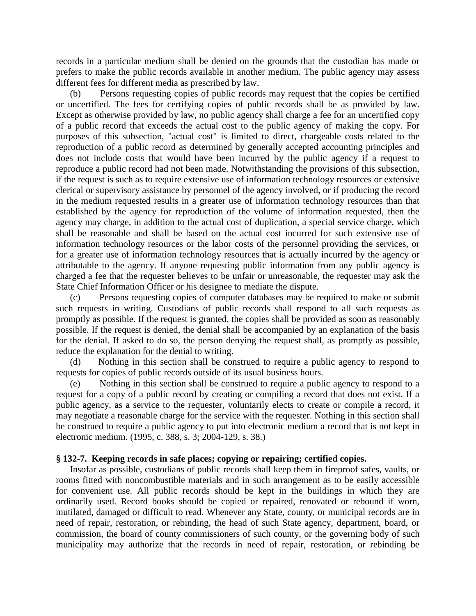records in a particular medium shall be denied on the grounds that the custodian has made or prefers to make the public records available in another medium. The public agency may assess different fees for different media as prescribed by law.

(b) Persons requesting copies of public records may request that the copies be certified or uncertified. The fees for certifying copies of public records shall be as provided by law. Except as otherwise provided by law, no public agency shall charge a fee for an uncertified copy of a public record that exceeds the actual cost to the public agency of making the copy. For purposes of this subsection, "actual cost" is limited to direct, chargeable costs related to the reproduction of a public record as determined by generally accepted accounting principles and does not include costs that would have been incurred by the public agency if a request to reproduce a public record had not been made. Notwithstanding the provisions of this subsection, if the request is such as to require extensive use of information technology resources or extensive clerical or supervisory assistance by personnel of the agency involved, or if producing the record in the medium requested results in a greater use of information technology resources than that established by the agency for reproduction of the volume of information requested, then the agency may charge, in addition to the actual cost of duplication, a special service charge, which shall be reasonable and shall be based on the actual cost incurred for such extensive use of information technology resources or the labor costs of the personnel providing the services, or for a greater use of information technology resources that is actually incurred by the agency or attributable to the agency. If anyone requesting public information from any public agency is charged a fee that the requester believes to be unfair or unreasonable, the requester may ask the State Chief Information Officer or his designee to mediate the dispute.

(c) Persons requesting copies of computer databases may be required to make or submit such requests in writing. Custodians of public records shall respond to all such requests as promptly as possible. If the request is granted, the copies shall be provided as soon as reasonably possible. If the request is denied, the denial shall be accompanied by an explanation of the basis for the denial. If asked to do so, the person denying the request shall, as promptly as possible, reduce the explanation for the denial to writing.

(d) Nothing in this section shall be construed to require a public agency to respond to requests for copies of public records outside of its usual business hours.

(e) Nothing in this section shall be construed to require a public agency to respond to a request for a copy of a public record by creating or compiling a record that does not exist. If a public agency, as a service to the requester, voluntarily elects to create or compile a record, it may negotiate a reasonable charge for the service with the requester. Nothing in this section shall be construed to require a public agency to put into electronic medium a record that is not kept in electronic medium. (1995, c. 388, s. 3; 2004-129, s. 38.)

#### **§ 132-7. Keeping records in safe places; copying or repairing; certified copies.**

Insofar as possible, custodians of public records shall keep them in fireproof safes, vaults, or rooms fitted with noncombustible materials and in such arrangement as to be easily accessible for convenient use. All public records should be kept in the buildings in which they are ordinarily used. Record books should be copied or repaired, renovated or rebound if worn, mutilated, damaged or difficult to read. Whenever any State, county, or municipal records are in need of repair, restoration, or rebinding, the head of such State agency, department, board, or commission, the board of county commissioners of such county, or the governing body of such municipality may authorize that the records in need of repair, restoration, or rebinding be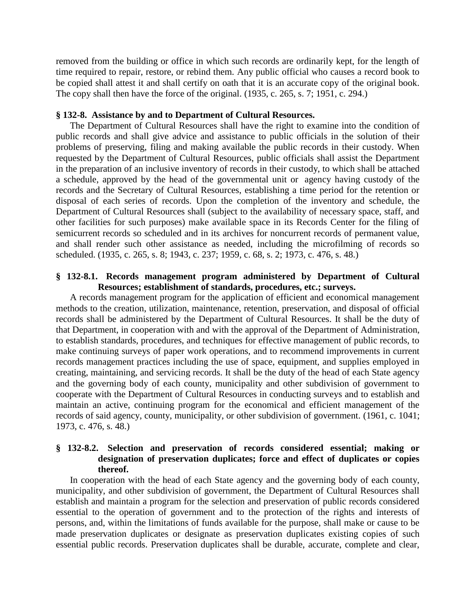removed from the building or office in which such records are ordinarily kept, for the length of time required to repair, restore, or rebind them. Any public official who causes a record book to be copied shall attest it and shall certify on oath that it is an accurate copy of the original book. The copy shall then have the force of the original. (1935, c. 265, s. 7; 1951, c. 294.)

# **§ 132-8. Assistance by and to Department of Cultural Resources.**

The Department of Cultural Resources shall have the right to examine into the condition of public records and shall give advice and assistance to public officials in the solution of their problems of preserving, filing and making available the public records in their custody. When requested by the Department of Cultural Resources, public officials shall assist the Department in the preparation of an inclusive inventory of records in their custody, to which shall be attached a schedule, approved by the head of the governmental unit or agency having custody of the records and the Secretary of Cultural Resources, establishing a time period for the retention or disposal of each series of records. Upon the completion of the inventory and schedule, the Department of Cultural Resources shall (subject to the availability of necessary space, staff, and other facilities for such purposes) make available space in its Records Center for the filing of semicurrent records so scheduled and in its archives for noncurrent records of permanent value, and shall render such other assistance as needed, including the microfilming of records so scheduled. (1935, c. 265, s. 8; 1943, c. 237; 1959, c. 68, s. 2; 1973, c. 476, s. 48.)

### **§ 132-8.1. Records management program administered by Department of Cultural Resources; establishment of standards, procedures, etc.; surveys.**

A records management program for the application of efficient and economical management methods to the creation, utilization, maintenance, retention, preservation, and disposal of official records shall be administered by the Department of Cultural Resources. It shall be the duty of that Department, in cooperation with and with the approval of the Department of Administration, to establish standards, procedures, and techniques for effective management of public records, to make continuing surveys of paper work operations, and to recommend improvements in current records management practices including the use of space, equipment, and supplies employed in creating, maintaining, and servicing records. It shall be the duty of the head of each State agency and the governing body of each county, municipality and other subdivision of government to cooperate with the Department of Cultural Resources in conducting surveys and to establish and maintain an active, continuing program for the economical and efficient management of the records of said agency, county, municipality, or other subdivision of government. (1961, c. 1041; 1973, c. 476, s. 48.)

# **§ 132-8.2. Selection and preservation of records considered essential; making or designation of preservation duplicates; force and effect of duplicates or copies thereof.**

In cooperation with the head of each State agency and the governing body of each county, municipality, and other subdivision of government, the Department of Cultural Resources shall establish and maintain a program for the selection and preservation of public records considered essential to the operation of government and to the protection of the rights and interests of persons, and, within the limitations of funds available for the purpose, shall make or cause to be made preservation duplicates or designate as preservation duplicates existing copies of such essential public records. Preservation duplicates shall be durable, accurate, complete and clear,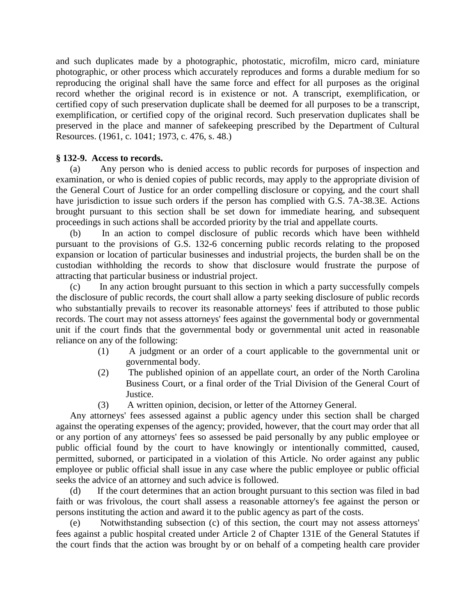and such duplicates made by a photographic, photostatic, microfilm, micro card, miniature photographic, or other process which accurately reproduces and forms a durable medium for so reproducing the original shall have the same force and effect for all purposes as the original record whether the original record is in existence or not. A transcript, exemplification, or certified copy of such preservation duplicate shall be deemed for all purposes to be a transcript, exemplification, or certified copy of the original record. Such preservation duplicates shall be preserved in the place and manner of safekeeping prescribed by the Department of Cultural Resources. (1961, c. 1041; 1973, c. 476, s. 48.)

# **§ 132-9. Access to records.**

(a) Any person who is denied access to public records for purposes of inspection and examination, or who is denied copies of public records, may apply to the appropriate division of the General Court of Justice for an order compelling disclosure or copying, and the court shall have jurisdiction to issue such orders if the person has complied with G.S. 7A-38.3E. Actions brought pursuant to this section shall be set down for immediate hearing, and subsequent proceedings in such actions shall be accorded priority by the trial and appellate courts.

(b) In an action to compel disclosure of public records which have been withheld pursuant to the provisions of G.S. 132-6 concerning public records relating to the proposed expansion or location of particular businesses and industrial projects, the burden shall be on the custodian withholding the records to show that disclosure would frustrate the purpose of attracting that particular business or industrial project.

(c) In any action brought pursuant to this section in which a party successfully compels the disclosure of public records, the court shall allow a party seeking disclosure of public records who substantially prevails to recover its reasonable attorneys' fees if attributed to those public records. The court may not assess attorneys' fees against the governmental body or governmental unit if the court finds that the governmental body or governmental unit acted in reasonable reliance on any of the following:

- (1) A judgment or an order of a court applicable to the governmental unit or governmental body.
- (2) The published opinion of an appellate court, an order of the North Carolina Business Court, or a final order of the Trial Division of the General Court of Justice.
- (3) A written opinion, decision, or letter of the Attorney General.

Any attorneys' fees assessed against a public agency under this section shall be charged against the operating expenses of the agency; provided, however, that the court may order that all or any portion of any attorneys' fees so assessed be paid personally by any public employee or public official found by the court to have knowingly or intentionally committed, caused, permitted, suborned, or participated in a violation of this Article. No order against any public employee or public official shall issue in any case where the public employee or public official seeks the advice of an attorney and such advice is followed.

(d) If the court determines that an action brought pursuant to this section was filed in bad faith or was frivolous, the court shall assess a reasonable attorney's fee against the person or persons instituting the action and award it to the public agency as part of the costs.

Notwithstanding subsection (c) of this section, the court may not assess attorneys' fees against a public hospital created under Article 2 of Chapter 131E of the General Statutes if the court finds that the action was brought by or on behalf of a competing health care provider